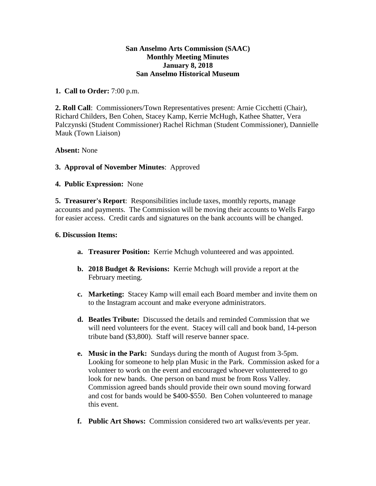### **San Anselmo Arts Commission (SAAC) Monthly Meeting Minutes January 8, 2018 San Anselmo Historical Museum**

## **1. Call to Order:** 7:00 p.m.

**2. Roll Call**: Commissioners/Town Representatives present: Arnie Cicchetti (Chair), Richard Childers, Ben Cohen, Stacey Kamp, Kerrie McHugh, Kathee Shatter, Vera Palczynski (Student Commissioner) Rachel Richman (Student Commissioner), Dannielle Mauk (Town Liaison)

## **Absent:** None

## **3. Approval of November Minutes**: Approved

## **4. Public Expression:** None

**5. Treasurer's Report**: Responsibilities include taxes, monthly reports, manage accounts and payments. The Commission will be moving their accounts to Wells Fargo for easier access. Credit cards and signatures on the bank accounts will be changed.

#### **6. Discussion Items:**

- **a. Treasurer Position:** Kerrie Mchugh volunteered and was appointed.
- **b. 2018 Budget & Revisions:** Kerrie Mchugh will provide a report at the February meeting.
- **c. Marketing:** Stacey Kamp will email each Board member and invite them on to the Instagram account and make everyone administrators.
- **d. Beatles Tribute:** Discussed the details and reminded Commission that we will need volunteers for the event. Stacey will call and book band, 14-person tribute band (\$3,800). Staff will reserve banner space.
- **e. Music in the Park:** Sundays during the month of August from 3-5pm. Looking for someone to help plan Music in the Park. Commission asked for a volunteer to work on the event and encouraged whoever volunteered to go look for new bands. One person on band must be from Ross Valley. Commission agreed bands should provide their own sound moving forward and cost for bands would be \$400-\$550. Ben Cohen volunteered to manage this event.
- **f. Public Art Shows:** Commission considered two art walks/events per year.